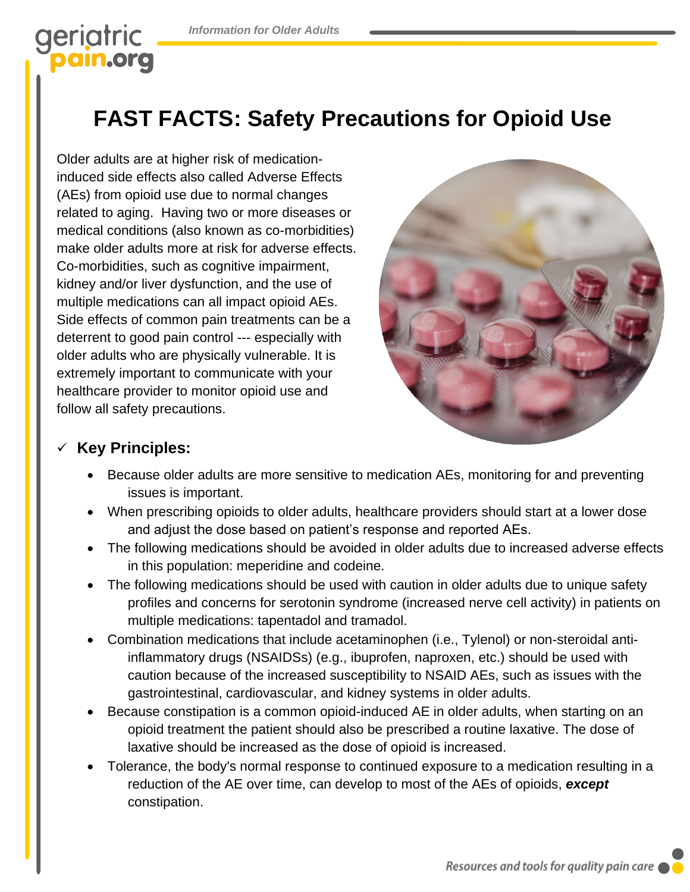# geriatric am.org

# **FAST FACTS: Safety Precautions for Opioid Use**

Older adults are at higher risk of medicationinduced side effects also called Adverse Effects (AEs) from opioid use due to normal changes related to aging. Having two or more diseases or medical conditions (also known as co-morbidities) make older adults more at risk for adverse effects. Co-morbidities, such as cognitive impairment, kidney and/or liver dysfunction, and the use of multiple medications can all impact opioid AEs. Side effects of common pain treatments can be a deterrent to good pain control --- especially with older adults who are physically vulnerable. It is extremely important to communicate with your healthcare provider to monitor opioid use and follow all safety precautions.



## ✓ **Key Principles:**

- Because older adults are more sensitive to medication AEs, monitoring for and preventing issues is important.
- When prescribing opioids to older adults, healthcare providers should start at a lower dose and adjust the dose based on patient's response and reported AEs.
- The following medications should be avoided in older adults due to increased adverse effects in this population: meperidine and codeine.
- The following medications should be used with caution in older adults due to unique safety profiles and concerns for serotonin syndrome (increased nerve cell activity) in patients on multiple medications: tapentadol and tramadol.
- Combination medications that include acetaminophen (i.e., Tylenol) or non-steroidal antiinflammatory drugs (NSAIDSs) (e.g., ibuprofen, naproxen, etc.) should be used with caution because of the increased susceptibility to NSAID AEs, such as issues with the gastrointestinal, cardiovascular, and kidney systems in older adults.
- Because constipation is a common opioid-induced AE in older adults, when starting on an opioid treatment the patient should also be prescribed a routine laxative. The dose of laxative should be increased as the dose of opioid is increased.
- Tolerance, the body's normal response to continued exposure to a medication resulting in a reduction of the AE over time, can develop to most of the AEs of opioids, *except* constipation.